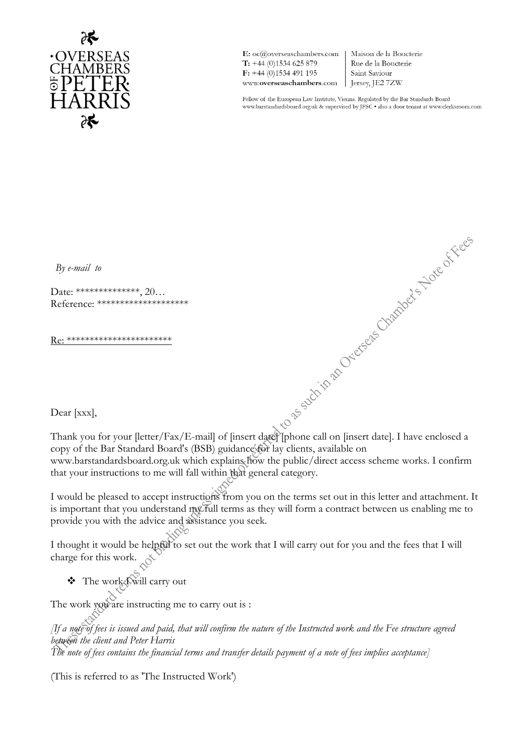

E: oc@overseaschambers.com  $T: +44(0)1534625879$  $F: +44(0)1534491195$ www.overseaschambers.com

Maison de la Boucterie Rue de la Boucterie Saint Saviour  $\vert$  Jersey, JE2 7ZW

Fellow of the European Law Institute, Vienna. Regulated by the Bar Standards Board www.barstandardsboard.org.uk & supervised by JFSC  $\bullet$  also a door tenant at www.clerksroom.com

*By e-mail to* 

Date: \*\*\*\*\*\*\*\*\*\*\*\*\*\*\*\*, 20... Reference: \*\*\*\*\*\*\*\*\*\*\*\*\*\*\*\*\*\*\*\*

Re: \*\*\*\*\*\*\*\*\*\*\*\*\*\*\*\*\*\*\*\*\*\*\*

Dear [xxx],

Dear [xxx],<br>Thank you for your [letter/Fax/E-mail] of [insert date] phone call on [insert date]. I have enclosed a<br>copy of the Bar Standard Board's (BSR) onidations (Call on [insert date]. I have enclosed a copy of the Bar Standard Board's (BSB) guidance for lay clients, available on www.barstandardsboard.org.uk which explains how the public/direct access scheme works. I confirm that your instructions to me will fall within that general category.

I would be pleased to accept instructions from you on the terms set out in this letter and attachment. It is important that you understand my full terms as they will form a contract between us enabling me to provide you with the advice and assistance you seek.

I thought it would be helpful to set out the work that I will carry out for you and the fees that I will charge for this work.

❖ The work I will carry out

The work you are instructing me to carry out is :

*[If a note of fees is issued and paid, that will confirm the nature of the Instructed work and the Fee structure agreed between the client and Peter Harris The note of fees contains the financial terms and transfer details payment of a note of fees implies acceptance]*

(This is referred to as 'The Instructed Work')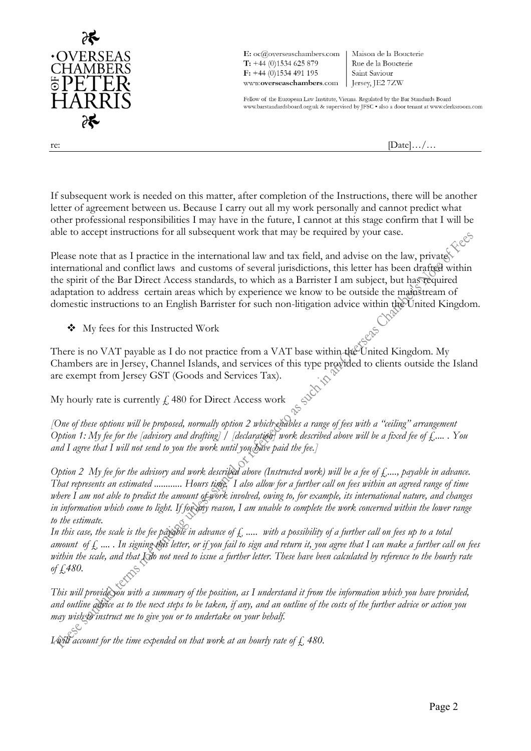

 $\mathbf{E:}\ \mathbf{oc}(\mathcal{Q}$ overseaschambers.com  $T: +44(0)1534625879$  $F: +44(0)1534491195$ www.overseaschambers.com

Maison de la Boucterie Rue de la Boucterie Saint Saviour Jersey, JE2 7ZW

Fellow of the European Law Institute, Vienna. Regulated by the Bar Standards Board www.barstandardsboard.org.uk & supervised by JFSC · also a door tenant at www.clerksroom.com

re:  $[\text{Date}].../\dots$ 

If subsequent work is needed on this matter, after completion of the Instructions, there will be another letter of agreement between us. Because I carry out all my work personally and cannot predict what other professional responsibilities I may have in the future, I cannot at this stage confirm that I will be able to accept instructions for all subsequent work that may be required by your case.

Please note that as I practice in the international law and tax field, and advise on the law, privates international and conflict laws and customs of several jurisdictions, this letter has been drafted within the spirit of the Bar Direct Access standards, to which as a Barrister I am subject, but has required adaptation to address certain areas which by experience we know to be outside the mainstream of domestic instructions to an English Barrister for such non-litigation advice within the United Kingdom.

❖ My fees for this Instructed Work

There is no VAT payable as I do not practice from a VAT base within the United Kingdom. My Chambers are in Jersey, Channel Islands, and services of this type provided to clients outside the Island are exempt from Jersey GST (Goods and Services Tax).

My hourly rate is currently  $f$  480 for Direct Access work

*[One of these options will be proposed, normally option 2 which enables a range of fees with a "ceiling" arrangement Option 1: My fee for the [advisory and drafting] / [declaration] work described above will be a fixed fee of £.... . You and I agree that I will not send to you the work until you have paid the fee.]*

*Option 2 My fee for the advisory and work described above (Instructed work) will be a fee of £...., payable in advance. That represents an estimated ............ Hours time. I also allow for a further call on fees within an agreed range of time where I am not able to predict the amount of work involved, owing to, for example, its international nature, and changes in information which come to light. If for any reason, I am unable to complete the work concerned within the lower range to the estimate.*

In this case, the scale is the fee payable in advance of  $f$ , ..... with a possibility of a further call on fees up to a total *amount of £ .... . In signing this letter, or if you fail to sign and return it, you agree that I can make a further call on fees*  within the scale, and that *I do not need to issue a further letter*. These have been calculated by reference to the hourly rate *of £480.*

*This will provide you with a summary of the position, as I understand it from the information which you have provided, and outline advice as to the next steps to be taken, if any, and an outline of the costs of the further advice or action you may wish to instruct me to give you or to undertake on your behalf.*

*I* will account for the time expended on that work at an hourly rate of  $\zeta$ , 480.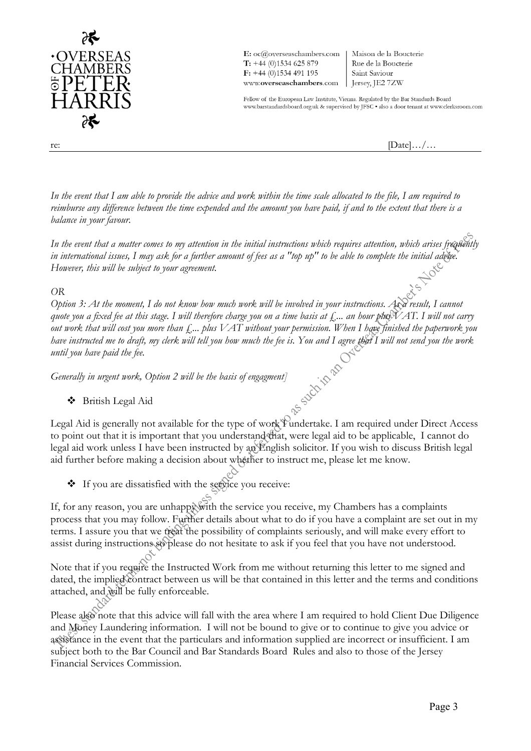

 $\mathbf{E:}\ \mathbf{oc}(\mathcal{Q}$ overseaschambers.com  $T: +44(0)1534625879$  $F: +44(0)1534491195$ www.overseaschambers.com | Jersey, JE2 7ZW

Maison de la Boucterie Rue de la Boucterie Saint Saviour

Fellow of the European Law Institute, Vienna. Regulated by the Bar Standards Board www.barstandardsboard.org.uk & supervised by JFSC . also a door tenant at www.clerksroom.com

re:  $[\text{Date}].../\dots$ 

*In the event that I am able to provide the advice and work within the time scale allocated to the file, I am required to reimburse any difference between the time expended and the amount you have paid, if and to the extent that there is a balance in your favour.*

In the event that a matter comes to my attention in the initial instructions which requires attention, which arises frequently *in international issues, I may ask for a further amount of fees as a "top up" to be able to complete the initial advice. However, this will be subject to your agreement.*

## *OR*

*Option 3: At the moment, I do not know how much work will be involved in your instructions. As a result, I cannot quote you a fixed fee at this stage. I will therefore charge you on a time basis at £... an hour plus VAT. I will not carry out work that will cost you more than £... plus VAT without your permission. When I have finished the paperwork you have instructed me to draft, my clerk will tell you how much the fee is. You and I agree that I will not send you the work until you have paid the fee.*<br> *Generally in urgent work, Option 2 will be the basis of engagment until you have paid the fee.*

*Generally in urgent work, Option 2 will be the basis of engagment]*

## ❖ British Legal Aid

Legal Aid is generally not available for the type of work I undertake. I am required under Direct Access to point out that it is important that you understand that, were legal aid to be applicable, I cannot do legal aid work unless I have been instructed by an English solicitor. If you wish to discuss British legal aid further before making a decision about whether to instruct me, please let me know.

❖ If you are dissatisfied with the service you receive:

If, for any reason, you are unhappy with the service you receive, my Chambers has a complaints process that you may follow. Further details about what to do if you have a complaint are set out in my terms. I assure you that we treat the possibility of complaints seriously, and will make every effort to assist during instructions so please do not hesitate to ask if you feel that you have not understood.

Note that if you require the Instructed Work from me without returning this letter to me signed and dated, the implied contract between us will be that contained in this letter and the terms and conditions attached, and will be fully enforceable.

Please also note that this advice will fall with the area where I am required to hold Client Due Diligence and Money Laundering information. I will not be bound to give or to continue to give you advice or assistance in the event that the particulars and information supplied are incorrect or insufficient. I am subject both to the Bar Council and Bar Standards Board Rules and also to those of the Jersey Financial Services Commission.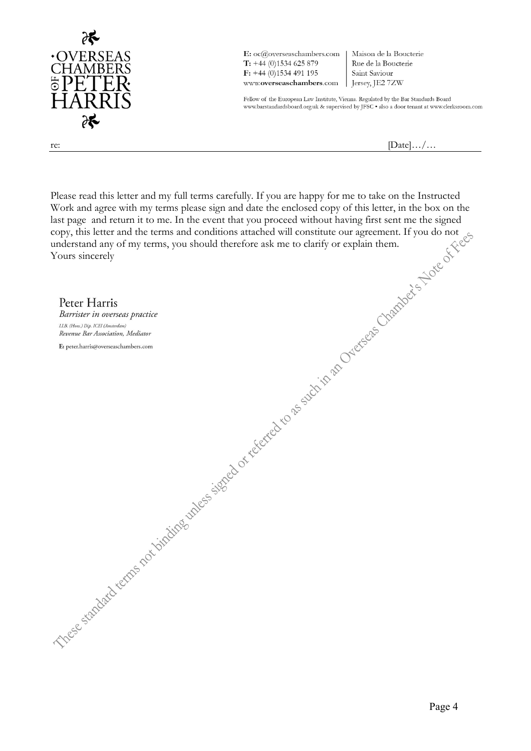

E: oc@overseaschambers.com  $T: +44(0)1534625879$  $F: +44(0)1534491195$ www.overseaschambers.com

Maison de la Boucterie Rue de la Boucterie Saint Saviour  $\vert$  Jersey, JE2 7ZW

Fellow of the European Law Institute, Vienna. Regulated by the Bar Standards Board www.barstandardsboard.org.uk $\&$  supervised by JFSC  $\bullet$  also a door tenant at www.clerksroom.com

re:  $[Date].../...$ 

Please read this letter and my full terms carefully. If you are happy for me to take on the Instructed Work and agree with my terms please sign and date the enclosed copy of this letter, in the box on the last page and return it to me. In the event that you proceed without having first sent me the signed copy, this letter and the terms and conditions attached will constitute our agreement. If you do not understand any of my terms, you should therefore ask me to clarify or explain them. Yours sincerely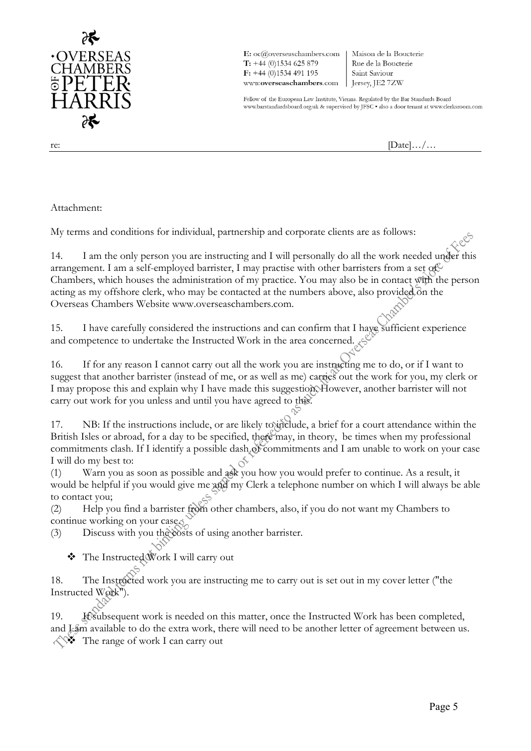

 $\mathbf{E:}\ \mathbf{oc}(\mathcal{Q}$ overseaschambers.com  $T: +44(0)1534625879$  $F: +44(0)1534491195$ www.overseaschambers.com

Maison de la Boucterie Rue de la Boucterie Saint Saviour Fersey, JE2 7ZW

Fellow of the European Law Institute, Vienna. Regulated by the Bar Standards Board www.barstandardsboard.org.uk & supervised by JFSC . also a door tenant at www.clerksroom.com

re:  $[\text{Date}].../\dots$ 

Attachment:

My terms and conditions for individual, partnership and corporate clients are as follows:

14. I am the only person you are instructing and I will personally do all the work needed under this arrangement. I am a self-employed barrister, I may practise with other barristers from a set of  $\mathbb{C}$ Chambers, which houses the administration of my practice. You may also be in contact with the person acting as my offshore clerk, who may be contacted at the numbers above, also provided  $\delta$ n the Overseas Chambers Website www.overseaschambers.com.

15. I have carefully considered the instructions and can confirm that I have sufficient experience and competence to undertake the Instructed Work in the area concerned.

16. If for any reason I cannot carry out all the work you are instructing me to do, or if I want to suggest that another barrister (instead of me, or as well as me) carries out the work for you, my clerk or I may propose this and explain why I have made this suggestion. However, another barrister will not carry out work for you unless and until you have agreed to this.

17. NB: If the instructions include, or are likely to include, a brief for a court attendance within the British Isles or abroad, for a day to be specified, there may, in theory, be times when my professional commitments clash. If I identify a possible dash  $\delta$  commitments and I am unable to work on your case I will do my best to:

(1) Warn you as soon as possible and ask you how you would prefer to continue. As a result, it would be helpful if you would give me and my Clerk a telephone number on which I will always be able to contact you;

(2) Help you find a barrister from other chambers, also, if you do not want my Chambers to continue working on your case.

(3) Discuss with you the costs of using another barrister.

❖ The Instructed Work I will carry out

18. The Instructed work you are instructing me to carry out is set out in my cover letter ("the Instructed  $W$  $\&$ <sup>W</sup> $\&$ 

19. If subsequent work is needed on this matter, once the Instructed Work has been completed, and I cam available to do the extra work, there will need to be another letter of agreement between us. The range of work I can carry out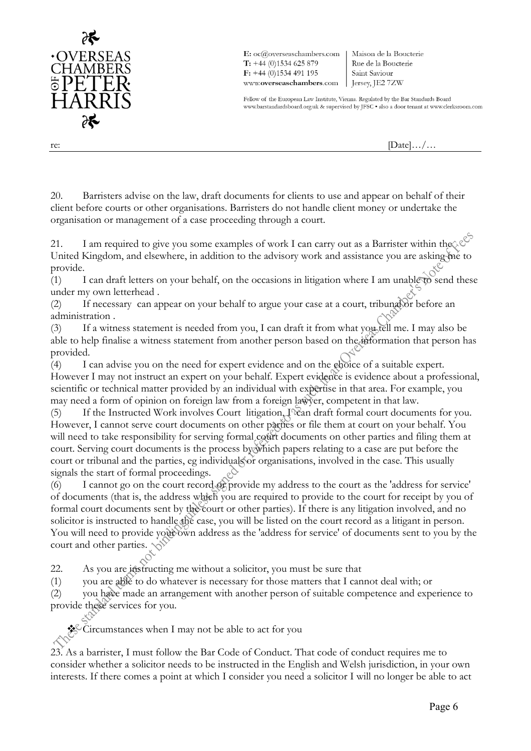

E: oc@overseaschambers.com  $T: +44(0)1534625879$  $F: +44(0)1534491195$ www.overseaschambers.com | Jersey, JE2 7ZW

Maison de la Boucterie Rue de la Boucterie Saint Saviour

Fellow of the European Law Institute, Vienna. Regulated by the Bar Standards Board www.barstandardsboard.org.uk & supervised by JFSC . also a door tenant at www.clerksroom.com

re:  $[\text{Date}].../\dots$ 

20. Barristers advise on the law, draft documents for clients to use and appear on behalf of their client before courts or other organisations. Barristers do not handle client money or undertake the organisation or management of a case proceeding through a court.

21. I am required to give you some examples of work I can carry out as a Barrister within the  $\&\circ$ United Kingdom, and elsewhere, in addition to the advisory work and assistance you are asking the to provide. provide.

(1) I can draft letters on your behalf, on the occasions in litigation where I am unable to send these under my own letterhead .

(2) If necessary can appear on your behalf to argue your case at a court, tribunal or before an administration .

(3) If a witness statement is needed from you, I can draft it from what you tell me. I may also be able to help finalise a witness statement from another person based on the information that person has provided.

(4) I can advise you on the need for expert evidence and on the choice of a suitable expert. However I may not instruct an expert on your behalf. Expert evidence is evidence about a professional, scientific or technical matter provided by an individual with expertise in that area. For example, you may need a form of opinion on foreign law from a foreign lawyer, competent in that law.

(5) If the Instructed Work involves Court litigation, I can draft formal court documents for you. However, I cannot serve court documents on other parties or file them at court on your behalf. You will need to take responsibility for serving formal court documents on other parties and filing them at court. Serving court documents is the process by which papers relating to a case are put before the court or tribunal and the parties, eg individuals or organisations, involved in the case. This usually signals the start of formal proceedings.

(6) I cannot go on the court record or provide my address to the court as the 'address for service' of documents (that is, the address which you are required to provide to the court for receipt by you of formal court documents sent by the court or other parties). If there is any litigation involved, and no solicitor is instructed to handle the case, you will be listed on the court record as a litigant in person. You will need to provide your order address as the 'address for service' of documents sent to you by the court and other parties.

22. As you are instructing me without a solicitor, you must be sure that

(1) you are able to do whatever is necessary for those matters that I cannot deal with; or

(2) you have made an arrangement with another person of suitable competence and experience to provide these services for you.

❖ Circumstances when I may not be able to act for you

23. As a barrister, I must follow the Bar Code of Conduct. That code of conduct requires me to consider whether a solicitor needs to be instructed in the English and Welsh jurisdiction, in your own interests. If there comes a point at which I consider you need a solicitor I will no longer be able to act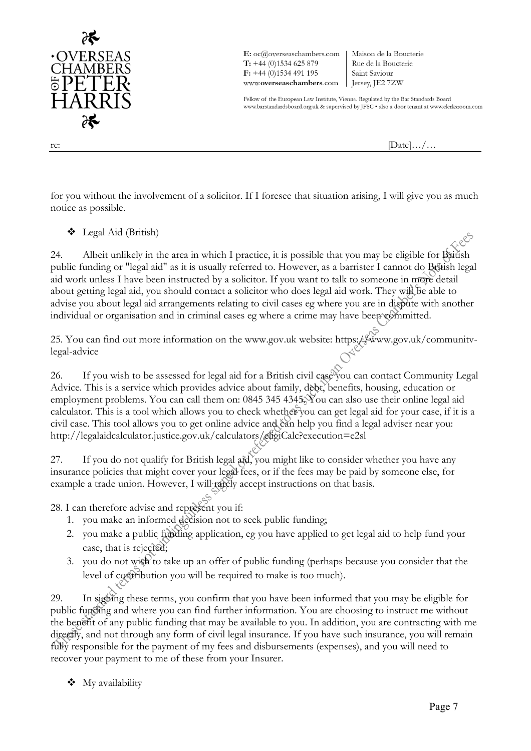

 $\mathbf{E:}\ \mathrm{oc}(\widehat{a})$ overseaschambers.com  $T: +44(0)1534625879$  $F: +44(0)1534491195$ www.overseaschambers.com | Jersey, JE2 7ZW

Maison de la Boucterie Rue de la Boucterie Saint Saviour

Fellow of the European Law Institute, Vienna. Regulated by the Bar Standards Board www.barstandardsboard.org.uk & supervised by JFSC . also a door tenant at www.clerksroom.com

re:  $[\text{Date}].../\dots$ 

for you without the involvement of a solicitor. If I foresee that situation arising, I will give you as much notice as possible.

❖ Legal Aid (British)

24. Albeit unlikely in the area in which I practice, it is possible that you may be eligible for British public funding or "legal aid" as it is usually referred to. However, as a barrister I cannot do British legal aid work unless I have been instructed by a solicitor. If you want to talk to someone in more detail about getting legal aid, you should contact a solicitor who does legal aid work. They will be able to advise you about legal aid arrangements relating to civil cases eg where you are in dispute with another individual or organisation and in criminal cases eg where a crime may have been committed.

25. You can find out more information on the www.gov.uk website: https://www.gov.uk/communitvlegal-advice

26. If you wish to be assessed for legal aid for a British civil case you can contact Community Legal Advice. This is a service which provides advice about family, debt, benefits, housing, education or employment problems. You can call them on: 0845 345 4345. You can also use their online legal aid calculator. This is a tool which allows you to check whether you can get legal aid for your case, if it is a civil case. This tool allows you to get online advice and can help you find a legal adviser near you: http://legalaidcalculator.justice.gov.uk/calculators/eligiCalc?execution=e2sl

27. If you do not qualify for British legal aid, you might like to consider whether you have any insurance policies that might cover your legal fees, or if the fees may be paid by someone else, for example a trade union. However, I will rarely accept instructions on that basis.

28. I can therefore advise and represent you if:

- 1. you make an informed decision not to seek public funding;
- 2. you make a public funding application, eg you have applied to get legal aid to help fund your case, that is rejected;
- 3. you do not wish to take up an offer of public funding (perhaps because you consider that the level of contribution you will be required to make is too much).

29. In signing these terms, you confirm that you have been informed that you may be eligible for public funding and where you can find further information. You are choosing to instruct me without the benefit of any public funding that may be available to you. In addition, you are contracting with me directly, and not through any form of civil legal insurance. If you have such insurance, you will remain fully responsible for the payment of my fees and disbursements (expenses), and you will need to recover your payment to me of these from your Insurer.

❖ My availability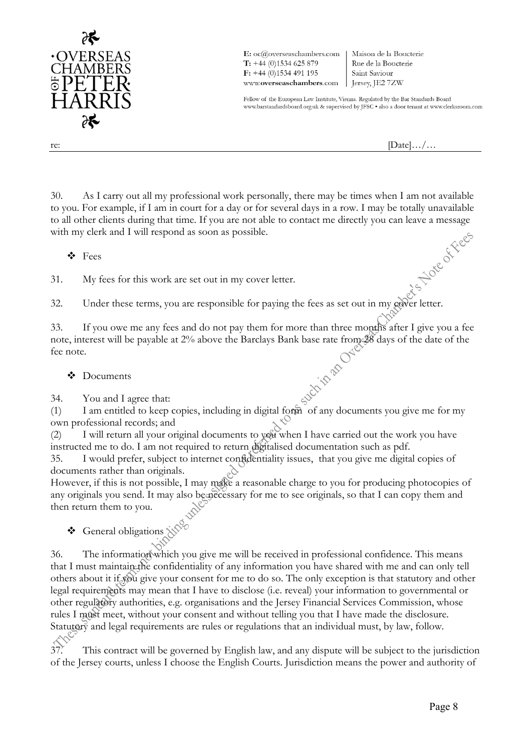

 $\mathbf{E:}\ \mathbf{oc}(\mathcal{Q}$ overseaschambers.com  $T: +44(0)1534625879$  $F: +44(0)1534491195$ www.overseaschambers.com

Maison de la Boucterie Rue de la Boucterie Saint Saviour Fersey, JE2 7ZW

Fellow of the European Law Institute, Vienna. Regulated by the Bar Standards Board www.barstandardsboard.org.uk & supervised by JFSC . also a door tenant at www.clerksroom.com

re:  $[\text{Date}].../\dots$ 

30. As I carry out all my professional work personally, there may be times when I am not available to you. For example, if I am in court for a day or for several days in a row. I may be totally unavailable to all other clients during that time. If you are not able to contact me directly you can leave a message<br>with my clerk and I will respond as soon as possible.<br> $\bullet$  Fees<br>31. My fees for this work are set out in  $\sim$ with my clerk and I will respond as soon as possible.

❖ Fees

31. My fees for this work are set out in my cover letter.

32. Under these terms, you are responsible for paying the fees as set out in my cover letter.

33. If you owe me any fees and do not pay them for more than three months after I give you a fee<br>note, interest will be payable at 2% above the Barclays Bank base rate from 38 days of the date of the<br>fee note.<br> $\bullet$  Docume note, interest will be payable at 2% above the Barclays Bank base rate from 28 days of the date of the fee note.

## ❖ Documents

34. You and I agree that:

(1) I am entitled to keep copies, including in digital form of any documents you give me for my own professional records; and

(2) I will return all your original documents to you when I have carried out the work you have instructed me to do. I am not required to return digitalised documentation such as pdf.

35. I would prefer, subject to internet confidentiality issues, that you give me digital copies of documents rather than originals.

However, if this is not possible, I may make a reasonable charge to you for producing photocopies of any originals you send. It may also be necessary for me to see originals, so that I can copy them and then return them to you.

❖ General obligations  $\mathcal{N}^{\circ}$ 

36. The information which you give me will be received in professional confidence. This means that I must maintain the confidentiality of any information you have shared with me and can only tell others about it if  $\chi$  give your consent for me to do so. The only exception is that statutory and other legal requirements may mean that I have to disclose (i.e. reveal) your information to governmental or other regulatory authorities, e.g. organisations and the Jersey Financial Services Commission, whose rules I must meet, without your consent and without telling you that I have made the disclosure. Statutory and legal requirements are rules or regulations that an individual must, by law, follow.

37. This contract will be governed by English law, and any dispute will be subject to the jurisdiction of the Jersey courts, unless I choose the English Courts. Jurisdiction means the power and authority of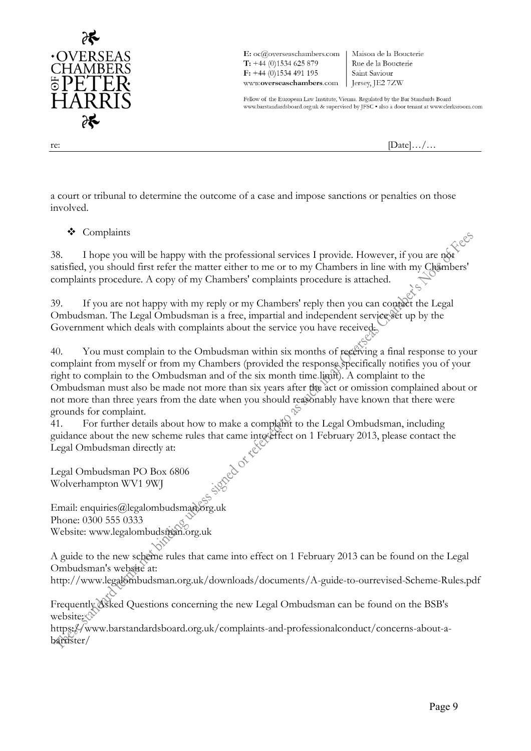

E: oc@overseaschambers.com  $T: +44(0)1534625879$  $F: +44(0)1534491195$ www.overseaschambers.com | Jersey, JE2 7ZW

Maison de la Boucterie Rue de la Boucterie Saint Saviour

Fellow of the European Law Institute, Vienna. Regulated by the Bar Standards Board www.barstandardsboard.org.uk & supervised by JFSC . also a door tenant at www.clerksroom.com

re:  $[\text{Date}].../\dots$ 

a court or tribunal to determine the outcome of a case and impose sanctions or penalties on those involved.

## ❖ Complaints

38. I hope you will be happy with the professional services I provide. However, if you are not satisfied, you should first refer the matter either to me or to my Chambers in line with my Chambers' complaints procedure. A copy of my Chambers' complaints procedure is attached.

39. If you are not happy with my reply or my Chambers' reply then you can contact the Legal Ombudsman. The Legal Ombudsman is a free, impartial and independent service set up by the Government which deals with complaints about the service you have received.

40. You must complain to the Ombudsman within six months of receiving a final response to your complaint from myself or from my Chambers (provided the response specifically notifies you of your right to complain to the Ombudsman and of the six month time limit). A complaint to the Ombudsman must also be made not more than six years after the act or omission complained about or not more than three years from the date when you should reasonably have known that there were grounds for complaint.

41. For further details about how to make a complaint to the Legal Ombudsman, including guidance about the new scheme rules that came into effect on 1 February 2013, please contact the Legal Ombudsman directly at:<br>Legal Ombudsman PO Box 6806 Legal Ombudsman directly at:

Legal Ombudsman PO Box 6806 Wolverhampton WV1 9WJ

Email: enquiries@legalombudsman.org.uk Phone: 0300 555 0333 Website: www.legalombudsman.org.uk

A guide to the new scheme rules that came into effect on 1 February 2013 can be found on the Legal Ombudsman's website at:

http://www.legalombudsman.org.uk/downloads/documents/A-guide-to-ourrevised-Scheme-Rules.pdf

Frequently Asked Questions concerning the new Legal Ombudsman can be found on the BSB's website:  $\Diamond$ 

https://www.barstandardsboard.org.uk/complaints-and-professionalconduct/concerns-about-abarrister/